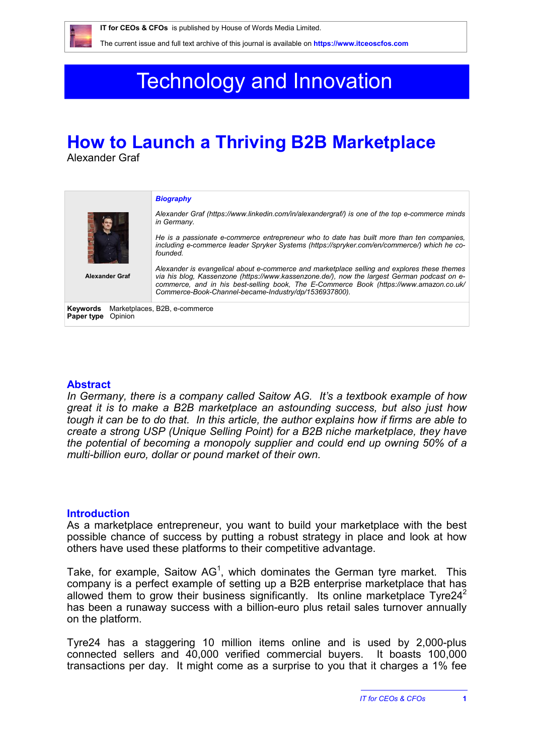# Technology and Innovation

# **How to Launch a Thriving B2B Marketplace**

Alexander Graf

|                                   | <b>Biography</b>                                                                                                                                                                                                                                                                                                                              |
|-----------------------------------|-----------------------------------------------------------------------------------------------------------------------------------------------------------------------------------------------------------------------------------------------------------------------------------------------------------------------------------------------|
|                                   | Alexander Graf (https://www.linkedin.com/in/alexandergraf/) is one of the top e-commerce minds<br>in Germany.                                                                                                                                                                                                                                 |
|                                   | He is a passionate e-commerce entrepreneur who to date has built more than ten companies,<br>including e-commerce leader Spryker Systems (https://spryker.com/en/commerce/) which he co-<br>founded                                                                                                                                           |
| <b>Alexander Graf</b>             | Alexander is evangelical about e-commerce and marketplace selling and explores these themes<br>via his blog. Kassenzone (https://www.kassenzone.de/), now the largest German podcast on e-<br>commerce, and in his best-selling book, The E-Commerce Book (https://www.amazon.co.uk/<br>Commerce-Book-Channel-became-Industry/dp/1536937800). |
| Keywords<br>Opinion<br>Paper type | Marketplaces, B2B, e-commerce                                                                                                                                                                                                                                                                                                                 |

# **Abstract**

*In Germany, there is a company called Saitow AG. It's a textbook example of how great it is to make a B2B marketplace an astounding success, but also just how tough it can be to do that. In this article, the author explains how if firms are able to create a strong USP (Unique Selling Point) for a B2B niche marketplace, they have the potential of becoming a monopoly supplier and could end up owning 50% of a multi-billion euro, dollar or pound market of their own.*

# **Introduction**

As a marketplace entrepreneur, you want to build your marketplace with the best possible chance of success by putting a robust strategy in place and look at how others have used these platforms to their competitive advantage.

Take, for example, Saitow AG<sup>1</sup>, which dominates the German tyre market. This company is a perfect example of setting up a B2B enterprise marketplace that has allowed them to grow their business significantly. Its online marketplace Tyre24<sup>2</sup> has been a runaway success with a billion-euro plus retail sales turnover annually on the platform.

Tyre24 has a staggering 10 million items online and is used by 2,000-plus connected sellers and 40,000 verified commercial buyers. It boasts 100,000 transactions per day. It might come as a surprise to you that it charges a 1% fee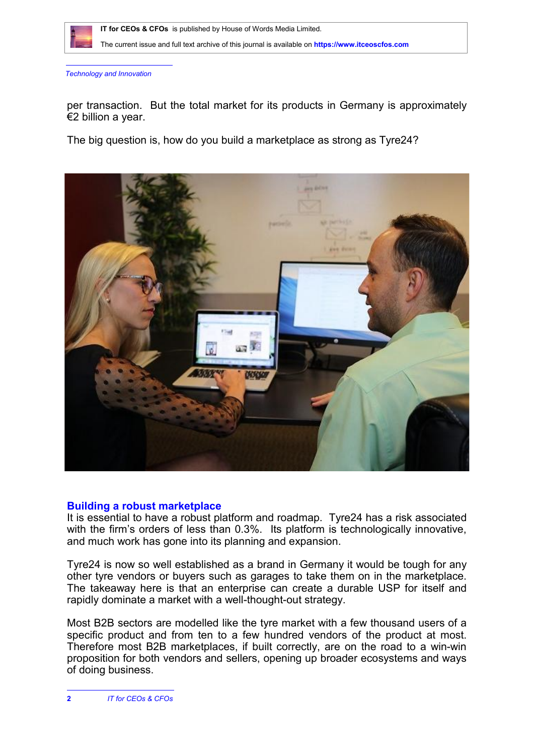

*Technology and Innovation*

per transaction. But the total market for its products in Germany is approximately €2 billion a year.

The big question is, how do you build a marketplace as strong as Tyre24?



### **Building a robust marketplace**

It is essential to have a robust platform and roadmap. Tyre24 has a risk associated with the firm's orders of less than 0.3%. Its platform is technologically innovative, and much work has gone into its planning and expansion.

Tyre24 is now so well established as a brand in Germany it would be tough for any other tyre vendors or buyers such as garages to take them on in the marketplace. The takeaway here is that an enterprise can create a durable USP for itself and rapidly dominate a market with a well-thought-out strategy.

Most B2B sectors are modelled like the tyre market with a few thousand users of a specific product and from ten to a few hundred vendors of the product at most. Therefore most B2B marketplaces, if built correctly, are on the road to a win-win proposition for both vendors and sellers, opening up broader ecosystems and ways of doing business.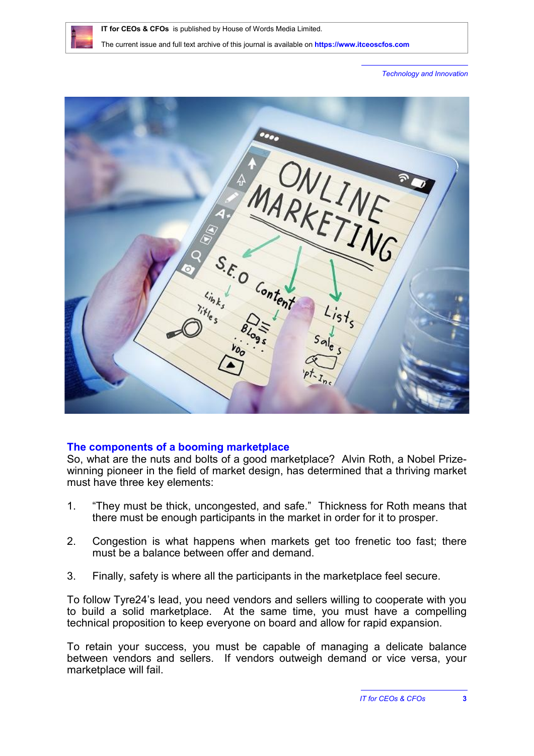

*Technology and Innovation*



# **The components of a booming marketplace**

So, what are the nuts and bolts of a good marketplace? Alvin Roth, a Nobel Prizewinning pioneer in the field of market design, has determined that a thriving market must have three key elements:

- 1. "They must be thick, uncongested, and safe." Thickness for Roth means that there must be enough participants in the market in order for it to prosper.
- 2. Congestion is what happens when markets get too frenetic too fast; there must be a balance between offer and demand.
- 3. Finally, safety is where all the participants in the marketplace feel secure.

To follow Tyre24's lead, you need vendors and sellers willing to cooperate with you to build a solid marketplace. At the same time, you must have a compelling technical proposition to keep everyone on board and allow for rapid expansion.

To retain your success, you must be capable of managing a delicate balance between vendors and sellers. If vendors outweigh demand or vice versa, your marketplace will fail.